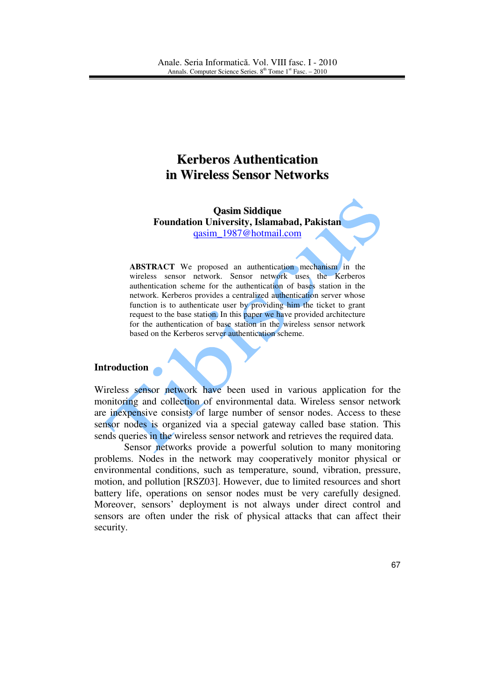# **Kerberos Authentication in Wireless Sensor Networks**

**Qasim Siddique Foundation University, Islamabad, Pakistan**  qasim\_1987@hotmail.com

**ABSTRACT** We proposed an authentication mechanism in the wireless sensor network. Sensor network uses the Kerberos authentication scheme for the authentication of bases station in the network. Kerberos provides a centralized authentication server whose function is to authenticate user by providing him the ticket to grant request to the base station. In this paper we have provided architecture for the authentication of base station in the wireless sensor network based on the Kerberos server authentication scheme.

#### **Introduction**

Wireless sensor network have been used in various application for the monitoring and collection of environmental data. Wireless sensor network are inexpensive consists of large number of sensor nodes. Access to these sensor nodes is organized via a special gateway called base station. This sends queries in the wireless sensor network and retrieves the required data.

Sensor networks provide a powerful solution to many monitoring problems. Nodes in the network may cooperatively monitor physical or environmental conditions, such as temperature, sound, vibration, pressure, motion, and pollution [RSZ03]. However, due to limited resources and short battery life, operations on sensor nodes must be very carefully designed. Moreover, sensors' deployment is not always under direct control and sensors are often under the risk of physical attacks that can affect their security.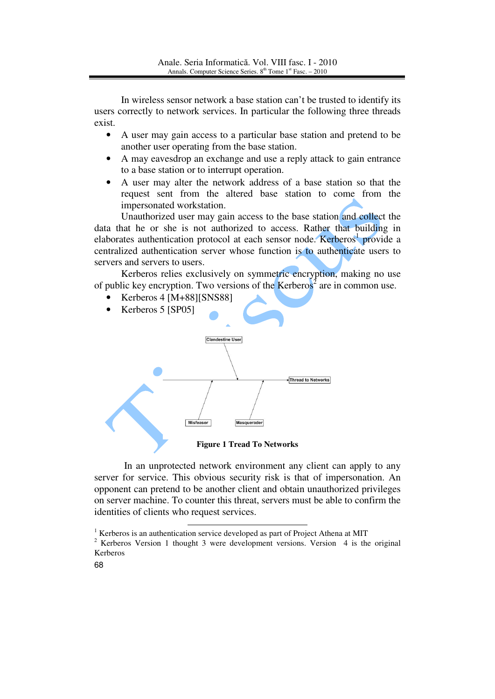In wireless sensor network a base station can't be trusted to identify its users correctly to network services. In particular the following three threads exist.

- A user may gain access to a particular base station and pretend to be another user operating from the base station.
- A may eavesdrop an exchange and use a reply attack to gain entrance to a base station or to interrupt operation.
- A user may alter the network address of a base station so that the request sent from the altered base station to come from the impersonated workstation.

Unauthorized user may gain access to the base station and collect the data that he or she is not authorized to access. Rather that building in elaborates authentication protocol at each sensor node. Kerberos<sup>1</sup> provide a centralized authentication server whose function is to authenticate users to servers and servers to users.

Kerberos relies exclusively on symmetric encryption, making no use of public key encryption. Two versions of the Kerberos<sup>2</sup> are in common use.

- Kerberos 4 [M+88][SNS88]
- Kerberos 5 [SP05]



**Figure 1 Tread To Networks**

In an unprotected network environment any client can apply to any server for service. This obvious security risk is that of impersonation. An opponent can pretend to be another client and obtain unauthorized privileges on server machine. To counter this threat, servers must be able to confirm the identities of clients who request services.

<sup>&</sup>lt;sup>1</sup> Kerberos is an authentication service developed as part of Project Athena at MIT

<sup>&</sup>lt;sup>2</sup> Kerberos Version 1 thought 3 were development versions. Version 4 is the original Kerberos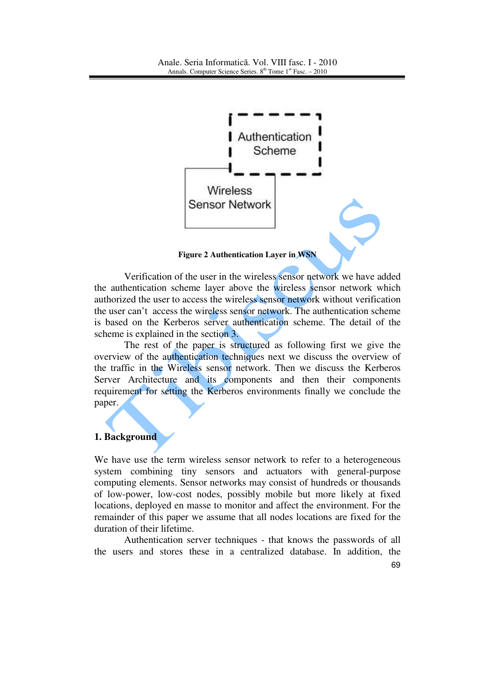

**Figure 2 Authentication Layer in WSN**

 Verification of the user in the wireless sensor network we have added the authentication scheme layer above the wireless sensor network which authorized the user to access the wireless sensor network without verification the user can't access the wireless sensor network. The authentication scheme is based on the Kerberos server authentication scheme. The detail of the scheme is explained in the section 3.

The rest of the paper is structured as following first we give the overview of the authentication techniques next we discuss the overview of the traffic in the Wireless sensor network. Then we discuss the Kerberos Server Architecture and its components and then their components requirement for setting the Kerberos environments finally we conclude the paper.

## **1. Background**

We have use the term wireless sensor network to refer to a heterogeneous system combining tiny sensors and actuators with general-purpose computing elements. Sensor networks may consist of hundreds or thousands of low-power, low-cost nodes, possibly mobile but more likely at fixed locations, deployed en masse to monitor and affect the environment. For the remainder of this paper we assume that all nodes locations are fixed for the duration of their lifetime.

Authentication server techniques - that knows the passwords of all the users and stores these in a centralized database. In addition, the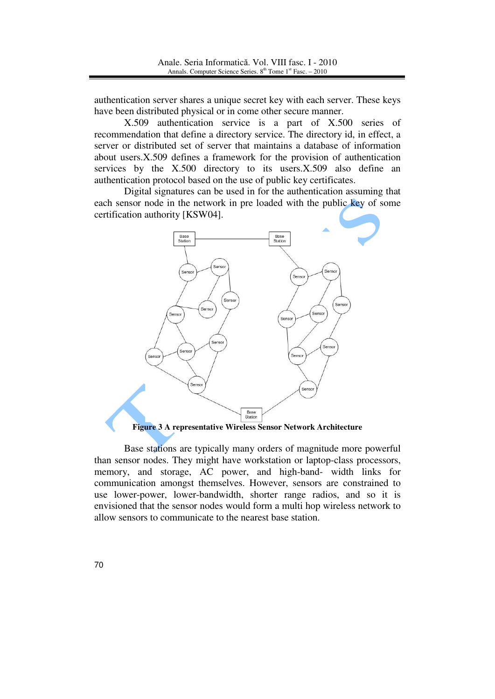authentication server shares a unique secret key with each server. These keys have been distributed physical or in come other secure manner.

X.509 authentication service is a part of X.500 series of recommendation that define a directory service. The directory id, in effect, a server or distributed set of server that maintains a database of information about users.X.509 defines a framework for the provision of authentication services by the X.500 directory to its users.X.509 also define an authentication protocol based on the use of public key certificates.

Digital signatures can be used in for the authentication assuming that each sensor node in the network in pre loaded with the public key of some certification authority [KSW04].



Base stations are typically many orders of magnitude more powerful than sensor nodes. They might have workstation or laptop-class processors, memory, and storage, AC power, and high-band- width links for communication amongst themselves. However, sensors are constrained to use lower-power, lower-bandwidth, shorter range radios, and so it is envisioned that the sensor nodes would form a multi hop wireless network to allow sensors to communicate to the nearest base station.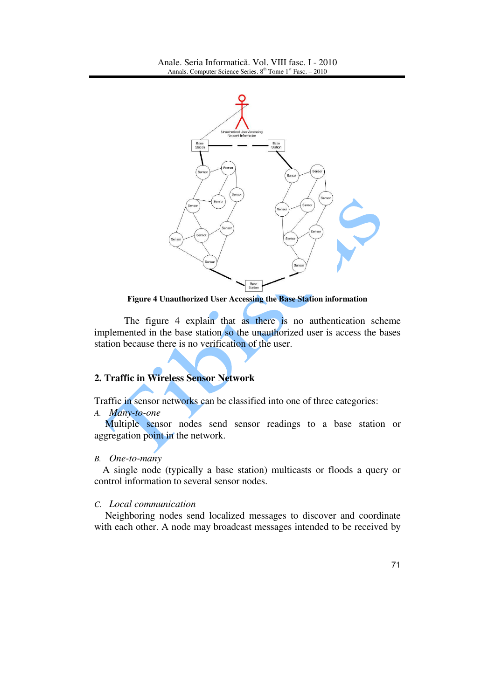

**Figure 4 Unauthorized User Accessing the Base Station information**

The figure 4 explain that as there is no authentication scheme implemented in the base station so the unauthorized user is access the bases station because there is no verification of the user.

# **2. Traffic in Wireless Sensor Network**

Traffic in sensor networks can be classified into one of three categories:

*A. Many-to-one* 

 Multiple sensor nodes send sensor readings to a base station or aggregation point in the network.

#### *B. One-to-many*

A single node (typically a base station) multicasts or floods a query or control information to several sensor nodes.

#### *C. Local communication*

 Neighboring nodes send localized messages to discover and coordinate with each other. A node may broadcast messages intended to be received by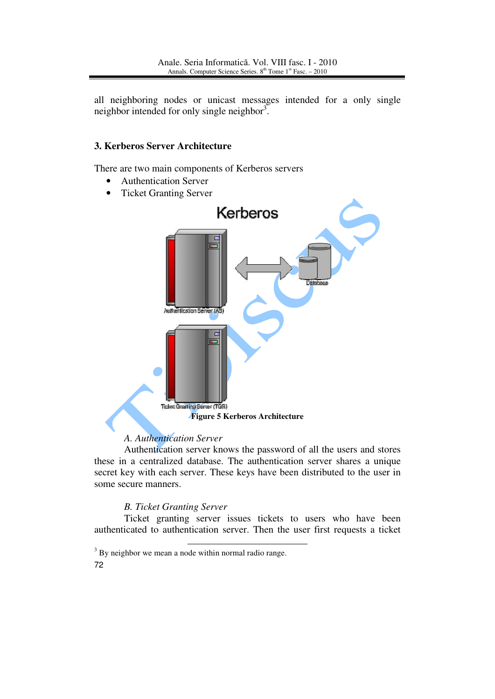all neighboring nodes or unicast messages intended for a only single neighbor intended for only single neighbor<sup>3</sup>.

## **3. Kerberos Server Architecture**

There are two main components of Kerberos servers

- Authentication Server
- Ticket Granting Server



## *A. Authentication Server*

Authentication server knows the password of all the users and stores these in a centralized database. The authentication server shares a unique secret key with each server. These keys have been distributed to the user in some secure manners.

## *B. Ticket Granting Server*

Ticket granting server issues tickets to users who have been authenticated to authentication server. Then the user first requests a ticket

<sup>72</sup> <sup>3</sup> By neighbor we mean a node within normal radio range.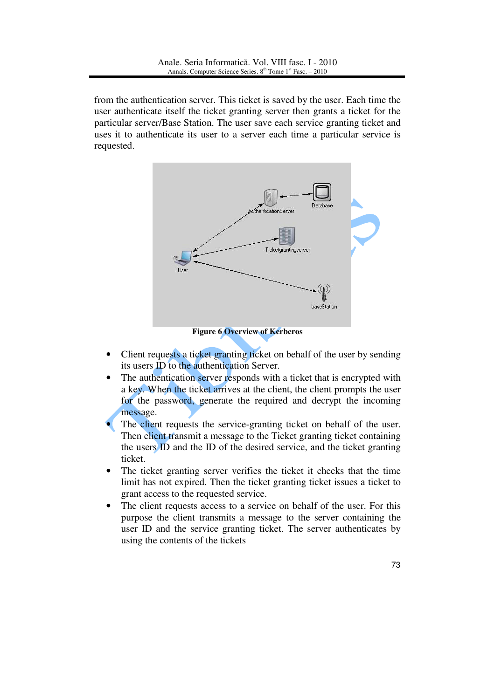from the authentication server. This ticket is saved by the user. Each time the user authenticate itself the ticket granting server then grants a ticket for the particular server/Base Station. The user save each service granting ticket and uses it to authenticate its user to a server each time a particular service is requested.



**Figure 6 Overview of Kerberos** 

- Client requests a ticket granting ticket on behalf of the user by sending its users ID to the authentication Server.
- The authentication server responds with a ticket that is encrypted with a key. When the ticket arrives at the client, the client prompts the user for the password, generate the required and decrypt the incoming message.
- The client requests the service-granting ticket on behalf of the user. Then client transmit a message to the Ticket granting ticket containing the users ID and the ID of the desired service, and the ticket granting ticket.
- The ticket granting server verifies the ticket it checks that the time limit has not expired. Then the ticket granting ticket issues a ticket to grant access to the requested service.
- The client requests access to a service on behalf of the user. For this purpose the client transmits a message to the server containing the user ID and the service granting ticket. The server authenticates by using the contents of the tickets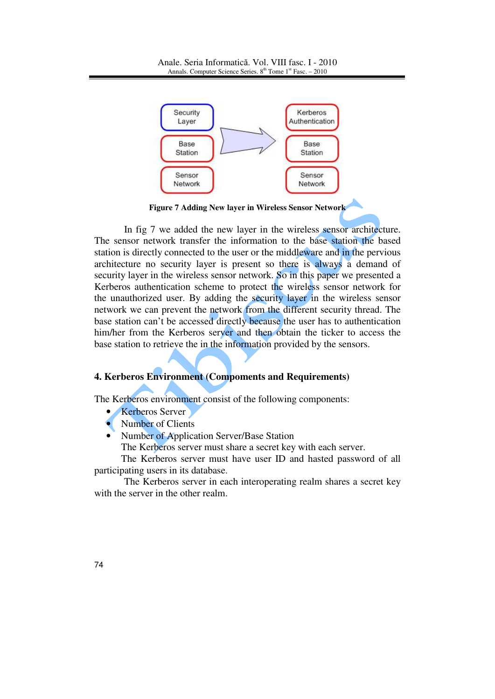

**Figure 7 Adding New layer in Wireless Sensor Network**

In fig 7 we added the new layer in the wireless sensor architecture. The sensor network transfer the information to the base station the based station is directly connected to the user or the middleware and in the pervious architecture no security layer is present so there is always a demand of security layer in the wireless sensor network. So in this paper we presented a Kerberos authentication scheme to protect the wireless sensor network for the unauthorized user. By adding the security layer in the wireless sensor network we can prevent the network from the different security thread. The base station can't be accessed directly because the user has to authentication him/her from the Kerberos server and then obtain the ticker to access the base station to retrieve the in the information provided by the sensors.

## **4. Kerberos Environment (Compoments and Requirements)**

The Kerberos environment consist of the following components:

- Kerberos Server
- Number of Clients
- Number of Application Server/Base Station

The Kerberos server must share a secret key with each server.

The Kerberos server must have user ID and hasted password of all participating users in its database.

The Kerberos server in each interoperating realm shares a secret key with the server in the other realm.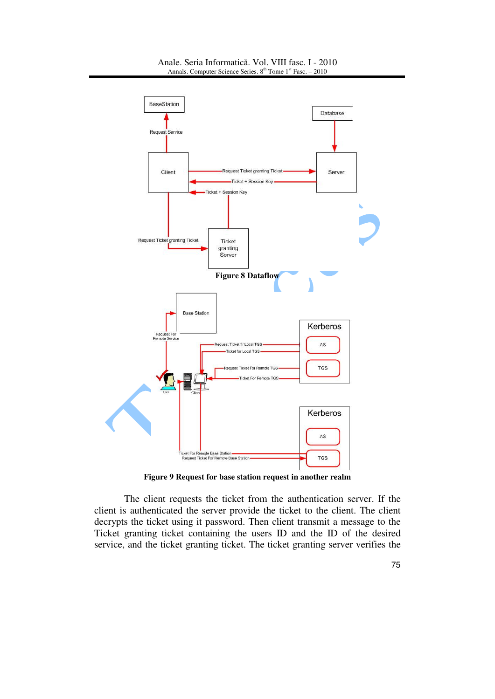

**Figure 9 Request for base station request in another realm**

The client requests the ticket from the authentication server. If the client is authenticated the server provide the ticket to the client. The client decrypts the ticket using it password. Then client transmit a message to the Ticket granting ticket containing the users ID and the ID of the desired service, and the ticket granting ticket. The ticket granting server verifies the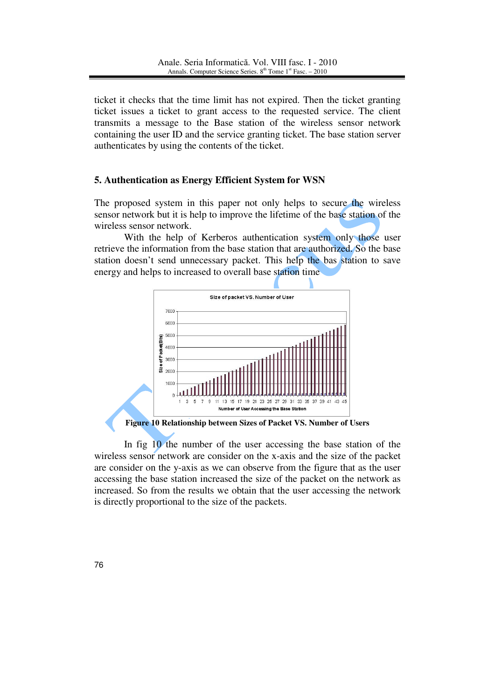ticket it checks that the time limit has not expired. Then the ticket granting ticket issues a ticket to grant access to the requested service. The client transmits a message to the Base station of the wireless sensor network containing the user ID and the service granting ticket. The base station server authenticates by using the contents of the ticket.

## **5. Authentication as Energy Efficient System for WSN**

The proposed system in this paper not only helps to secure the wireless sensor network but it is help to improve the lifetime of the base station of the wireless sensor network.

With the help of Kerberos authentication system only those user retrieve the information from the base station that are authorized. So the base station doesn't send unnecessary packet. This help the bas station to save energy and helps to increased to overall base station time



In fig 10 the number of the user accessing the base station of the wireless sensor network are consider on the x-axis and the size of the packet are consider on the y-axis as we can observe from the figure that as the user accessing the base station increased the size of the packet on the network as increased. So from the results we obtain that the user accessing the network is directly proportional to the size of the packets.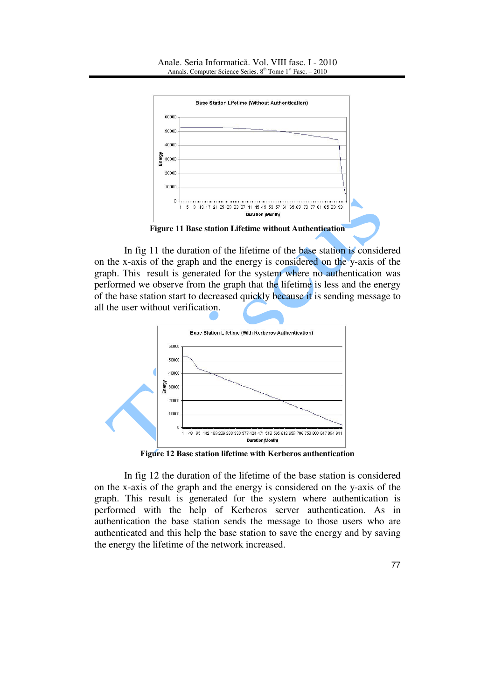

In fig 11 the duration of the lifetime of the base station is considered on the x-axis of the graph and the energy is considered on the y-axis of the graph. This result is generated for the system where no authentication was performed we observe from the graph that the lifetime is less and the energy of the base station start to decreased quickly because it is sending message to all the user without verification.



**Figure 12 Base station lifetime with Kerberos authentication**

In fig 12 the duration of the lifetime of the base station is considered on the x-axis of the graph and the energy is considered on the y-axis of the graph. This result is generated for the system where authentication is performed with the help of Kerberos server authentication. As in authentication the base station sends the message to those users who are authenticated and this help the base station to save the energy and by saving the energy the lifetime of the network increased.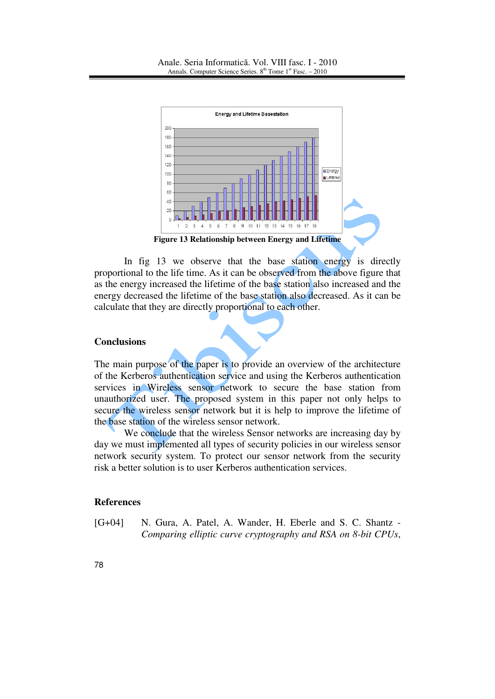

In fig 13 we observe that the base station energy is directly proportional to the life time. As it can be observed from the above figure that as the energy increased the lifetime of the base station also increased and the energy decreased the lifetime of the base station also decreased. As it can be calculate that they are directly proportional to each other.

#### **Conclusions**

The main purpose of the paper is to provide an overview of the architecture of the Kerberos authentication service and using the Kerberos authentication services in Wireless sensor network to secure the base station from unauthorized user. The proposed system in this paper not only helps to secure the wireless sensor network but it is help to improve the lifetime of the base station of the wireless sensor network.

We conclude that the wireless Sensor networks are increasing day by day we must implemented all types of security policies in our wireless sensor network security system. To protect our sensor network from the security risk a better solution is to user Kerberos authentication services.

#### **References**

[G+04] N. Gura, A. Patel, A. Wander, H. Eberle and S. C. Shantz - *Comparing elliptic curve cryptography and RSA on 8-bit CPUs*,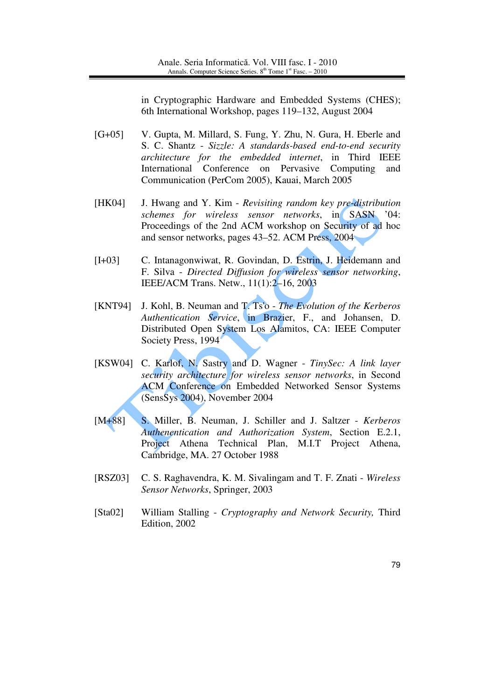in Cryptographic Hardware and Embedded Systems (CHES); 6th International Workshop, pages 119–132, August 2004

- [G+05] V. Gupta, M. Millard, S. Fung, Y. Zhu, N. Gura, H. Eberle and S. C. Shantz - *Sizzle: A standards-based end-to-end security architecture for the embedded internet*, in Third IEEE International Conference on Pervasive Computing and Communication (PerCom 2005), Kauai, March 2005
- [HK04] J. Hwang and Y. Kim *Revisiting random key pre-distribution schemes for wireless sensor networks*, in SASN '04: Proceedings of the 2nd ACM workshop on Security of ad hoc and sensor networks, pages 43–52. ACM Press, 2004
- [I+03] C. Intanagonwiwat, R. Govindan, D. Estrin, J. Heidemann and F. Silva - *Directed Diffusion for wireless sensor networking*, IEEE/ACM Trans. Netw., 11(1):2–16, 2003
- [KNT94] J. Kohl, B. Neuman and T. Ts'o *The Evolution of the Kerberos Authentication Service*, in Brazier, F., and Johansen, D. Distributed Open System Los Alamitos, CA: IEEE Computer Society Press, 1994
- [KSW04] C. Karlof, N. Sastry and D. Wagner *TinySec: A link layer security architecture for wireless sensor networks*, in Second ACM Conference on Embedded Networked Sensor Systems (SensSys 2004), November 2004
- [M+88] S. Miller, B. Neuman, J. Schiller and J. Saltzer *Kerberos Authenentication and Authorization System*, Section E.2.1, Project Athena Technical Plan, M.I.T Project Athena, Cambridge, MA. 27 October 1988
- [RSZ03] C. S. Raghavendra, K. M. Sivalingam and T. F. Znati *Wireless Sensor Networks*, Springer, 2003
- [Sta02] William Stalling *Cryptography and Network Security,* Third Edition, 2002